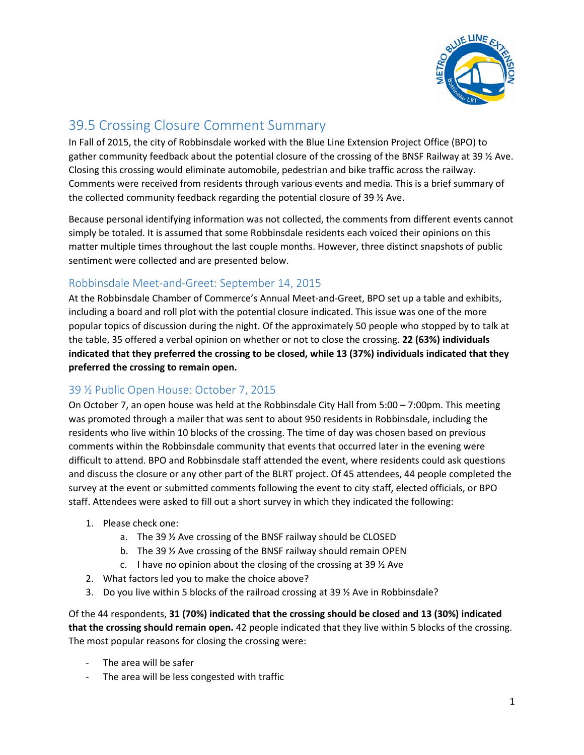

## 39.5 Crossing Closure Comment Summary

 gather community feedback about the potential closure of the crossing of the BNSF Railway at 39 ½ Ave. the collected community feedback regarding the potential closure of 39 ½ Ave. In Fall of 2015, the city of Robbinsdale worked with the Blue Line Extension Project Office (BPO) to Closing this crossing would eliminate automobile, pedestrian and bike traffic across the railway. Comments were received from residents through various events and media. This is a brief summary of

 simply be totaled. It is assumed that some Robbinsdale residents each voiced their opinions on this matter multiple times throughout the last couple months. However, three distinct snapshots of public Because personal identifying information was not collected, the comments from different events cannot sentiment were collected and are presented below.

## Robbinsdale Meet-and-Greet: September 14, 2015

 At the Robbinsdale Chamber of Commerce's Annual Meet-and-Greet, BPO set up a table and exhibits, including a board and roll plot with the potential closure indicated. This issue was one of the more the table, 35 offered a verbal opinion on whether or not to close the crossing. **22 (63%) individuals**  popular topics of discussion during the night. Of the approximately 50 people who stopped by to talk at **indicated that they preferred the crossing to be closed, while 13 (37%) individuals indicated that they preferred the crossing to remain open.** 

## 39 ½ Public Open House: October 7, 2015

 was promoted through a mailer that was sent to about 950 residents in Robbinsdale, including the residents who live within 10 blocks of the crossing. The time of day was chosen based on previous and discuss the closure or any other part of the BLRT project. Of 45 attendees, 44 people completed the survey at the event or submitted comments following the event to city staff, elected officials, or BPO On October 7, an open house was held at the Robbinsdale City Hall from 5:00 – 7:00pm. This meeting comments within the Robbinsdale community that events that occurred later in the evening were difficult to attend. BPO and Robbinsdale staff attended the event, where residents could ask questions staff. Attendees were asked to fill out a short survey in which they indicated the following:

- 1. Please check one:
	- a. The 39 ½ Ave crossing of the BNSF railway should be CLOSED
	- b. The 39 ½ Ave crossing of the BNSF railway should remain OPEN
	- c. I have no opinion about the closing of the crossing at 39 ½ Ave
- 2. What factors led you to make the choice above?
- 3. Do you live within 5 blocks of the railroad crossing at 39 ½ Ave in Robbinsdale?

 **that the crossing should remain open.** 42 people indicated that they live within 5 blocks of the crossing. Of the 44 respondents, **31 (70%) indicated that the crossing should be closed and 13 (30%) indicated**  The most popular reasons for closing the crossing were:

- The area will be safer
- The area will be less congested with traffic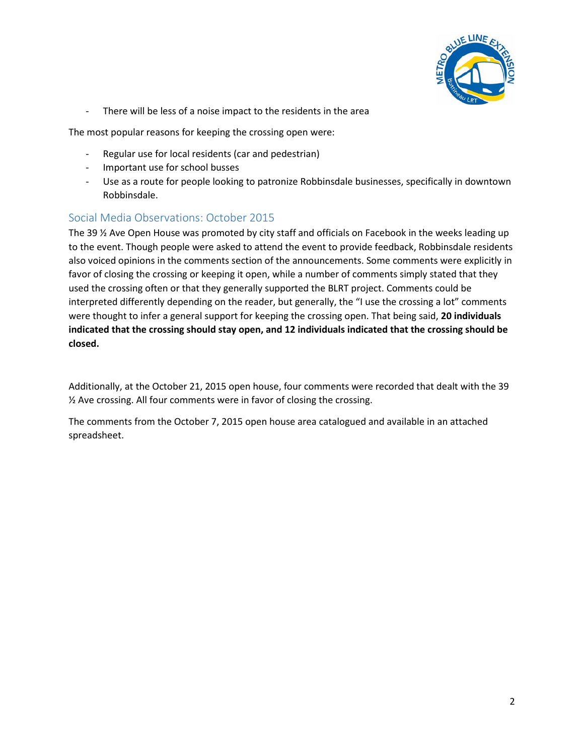

- There will be less of a noise impact to the residents in the area

The most popular reasons for keeping the crossing open were:

- Regular use for local residents (car and pedestrian)
- Important use for school busses
- Use as a route for people looking to patronize Robbinsdale businesses, specifically in downtown Robbinsdale.

## Social Media Observations: October 2015

 The 39 ½ Ave Open House was promoted by city staff and officials on Facebook in the weeks leading up to the event. Though people were asked to attend the event to provide feedback, Robbinsdale residents also voiced opinions in the comments section of the announcements. Some comments were explicitly in favor of closing the crossing or keeping it open, while a number of comments simply stated that they used the crossing often or that they generally supported the BLRT project. Comments could be interpreted differently depending on the reader, but generally, the "I use the crossing a lot" comments were thought to infer a general support for keeping the crossing open. That being said, **20 individuals indicated that the crossing should stay open, and 12 individuals indicated that the crossing should be closed.** 

Additionally, at the October 21, 2015 open house, four comments were recorded that dealt with the 39 ½ Ave crossing. All four comments were in favor of closing the crossing.

The comments from the October 7, 2015 open house area catalogued and available in an attached spreadsheet.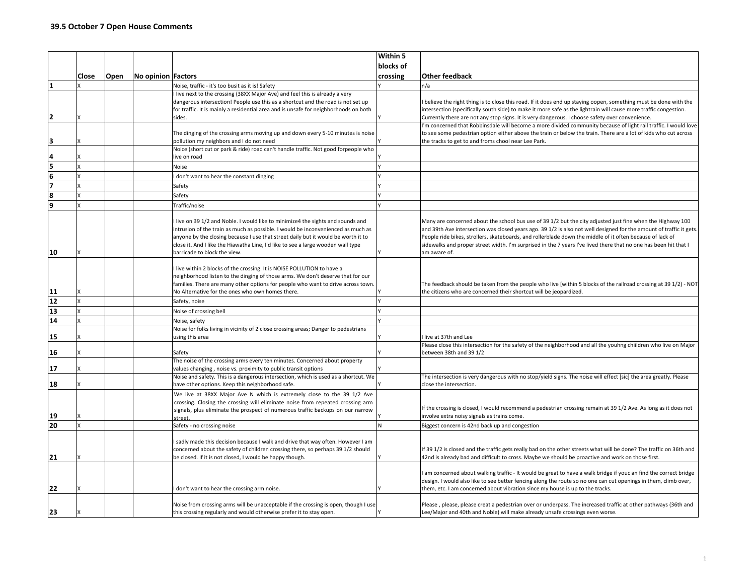|    |       |      |                           |                                                                                                                             | Within 5  |                                                                                                                                                                                                                                      |
|----|-------|------|---------------------------|-----------------------------------------------------------------------------------------------------------------------------|-----------|--------------------------------------------------------------------------------------------------------------------------------------------------------------------------------------------------------------------------------------|
|    |       |      |                           |                                                                                                                             | blocks of |                                                                                                                                                                                                                                      |
|    | Close | Open | <b>No opinion Factors</b> |                                                                                                                             | crossing  | <b>Other feedback</b>                                                                                                                                                                                                                |
|    |       |      |                           | Noise, traffic - it's too busit as it is! Safety                                                                            |           | n/a                                                                                                                                                                                                                                  |
|    |       |      |                           | live next to the crossing (38XX Major Ave) and feel this is already a very                                                  |           |                                                                                                                                                                                                                                      |
|    |       |      |                           | dangerous intersection! People use this as a shortcut and the road is not set up                                            |           | I believe the right thing is to close this road. If it does end up staying oopen, something must be done with the                                                                                                                    |
|    |       |      |                           | for traffic. It is mainly a residential area and is unsafe for neighborhoods on both                                        |           | intersection (specifically south side) to make it more safe as the lightrain will cause more traffic congestion.                                                                                                                     |
| 2  |       |      |                           | sides.                                                                                                                      |           | Currently there are not any stop signs. It is very dangerous. I choose safety over convenience.                                                                                                                                      |
|    |       |      |                           |                                                                                                                             |           | I'm concerned that Robbinsdale will become a more divided community because of light rail traffic. I would love                                                                                                                      |
| Ι3 |       |      |                           | The dinging of the crossing arms moving up and down every 5-10 minutes is noise<br>pollution my neighbors and I do not need |           | to see some pedestrian option either above the train or below the train. There are a lot of kids who cut across<br>the tracks to get to and froms chool near Lee Park.                                                               |
|    |       |      |                           | Noice (short cut or park & ride) road can't handle traffic. Not good forpeople who                                          |           |                                                                                                                                                                                                                                      |
|    |       |      |                           | live on road                                                                                                                |           |                                                                                                                                                                                                                                      |
| 5  |       |      |                           | Noise                                                                                                                       |           |                                                                                                                                                                                                                                      |
| 6  |       |      |                           | don't want to hear the constant dinging                                                                                     |           |                                                                                                                                                                                                                                      |
|    |       |      |                           | Safety                                                                                                                      |           |                                                                                                                                                                                                                                      |
| 8  |       |      |                           | Safety                                                                                                                      |           |                                                                                                                                                                                                                                      |
| 9  |       |      |                           | Fraffic/noise                                                                                                               |           |                                                                                                                                                                                                                                      |
|    |       |      |                           |                                                                                                                             |           |                                                                                                                                                                                                                                      |
|    |       |      |                           | live on 39 1/2 and Noble. I would like to minimize4 the sights and sounds and                                               |           | Many are concerned about the school bus use of 39 1/2 but the city adjusted just fine when the Highway 100                                                                                                                           |
|    |       |      |                           | ntrusion of the train as much as possible. I would be inconvenienced as much as                                             |           | and 39th Ave intersection was closed years ago. 39 1/2 is also not well designed for the amount of traffic it gets.                                                                                                                  |
|    |       |      |                           | anyone by the closing because I use that street daily but it would be worth it to                                           |           | People ride bikes, strollers, skateboards, and rollerblade down the middle of it often because of lack of                                                                                                                            |
|    |       |      |                           | close it. And I like the Hiawatha Line, I'd like to see a large wooden wall type                                            |           | sidewalks and proper street width. I'm surprised in the 7 years I've lived there that no one has been hit that I                                                                                                                     |
| 10 |       |      |                           | barricade to block the view.                                                                                                |           | am aware of.                                                                                                                                                                                                                         |
|    |       |      |                           | live within 2 blocks of the crossing. It is NOISE POLLUTION to have a                                                       |           |                                                                                                                                                                                                                                      |
|    |       |      |                           | neighborhood listen to the dinging of those arms. We don't deserve that for our                                             |           |                                                                                                                                                                                                                                      |
|    |       |      |                           | families. There are many other options for people who want to drive across town.                                            |           | The feedback should be taken from the people who live [within 5 blocks of the railroad crossing at 39 1/2) - NOT                                                                                                                     |
| 11 |       |      |                           | No Alternative for the ones who own homes there.                                                                            |           | the citizens who are concerned their shortcut will be jeopardized.                                                                                                                                                                   |
| 12 |       |      |                           | Safety, noise                                                                                                               |           |                                                                                                                                                                                                                                      |
| 13 |       |      |                           | Noise of crossing bell                                                                                                      |           |                                                                                                                                                                                                                                      |
| 14 |       |      |                           | Noise, safety                                                                                                               |           |                                                                                                                                                                                                                                      |
|    |       |      |                           | Noise for folks living in vicinity of 2 close crossing areas; Danger to pedestrians                                         |           |                                                                                                                                                                                                                                      |
| 15 |       |      |                           | using this area                                                                                                             |           | I live at 37th and Lee                                                                                                                                                                                                               |
|    |       |      |                           | Safety                                                                                                                      |           | Please close this intersection for the safety of the neighborhood and all the youhng children who live on Major<br>between 38th and 39 1/2                                                                                           |
| 16 |       |      |                           | The noise of the crossing arms every ten minutes. Concerned about property                                                  |           |                                                                                                                                                                                                                                      |
| 17 |       |      |                           | values changing, noise vs. proximity to public transit options                                                              |           |                                                                                                                                                                                                                                      |
|    |       |      |                           | Noise and safety. This is a dangerous intersection, which is used as a shortcut. We                                         |           | The intersection is very dangerous with no stop/yield signs. The noise will effect [sic] the area greatly. Please                                                                                                                    |
| 18 |       |      |                           | have other options. Keep this neighborhood safe.                                                                            |           | close the intersection.                                                                                                                                                                                                              |
|    |       |      |                           | We live at 38XX Major Ave N which is extremely close to the 39 1/2 Ave                                                      |           |                                                                                                                                                                                                                                      |
|    |       |      |                           | crossing. Closing the crossing will eliminate noise from repeated crossing arm                                              |           |                                                                                                                                                                                                                                      |
| 19 |       |      |                           | signals, plus eliminate the prospect of numerous traffic backups on our narrow                                              |           | If the crossing is closed, I would recommend a pedestrian crossing remain at 39 1/2 Ave. As long as it does not<br>involve extra noisy signals as trains come.                                                                       |
| 20 |       |      |                           | street.<br>Safety - no crossing noise                                                                                       | N         | Biggest concern is 42nd back up and congestion                                                                                                                                                                                       |
|    |       |      |                           |                                                                                                                             |           |                                                                                                                                                                                                                                      |
|    |       |      |                           | sadly made this decision because I walk and drive that way often. However I am                                              |           |                                                                                                                                                                                                                                      |
|    |       |      |                           | concerned about the safety of children crossing there, so perhaps 39 1/2 should                                             |           | If 39 1/2 is closed and the traffic gets really bad on the other streets what will be done? The traffic on 36th and                                                                                                                  |
| 21 |       |      |                           | be closed. If it is not closed, I would be happy though.                                                                    |           | 42nd is already bad and difficult to cross. Maybe we should be proactive and work on those first.                                                                                                                                    |
|    |       |      |                           |                                                                                                                             |           |                                                                                                                                                                                                                                      |
|    |       |      |                           |                                                                                                                             |           | I am concerned about walking traffic - It would be great to have a walk bridge if youc an find the correct bridge<br>design. I would also like to see better fencing along the route so no one can cut openings in them, climb over, |
| 22 |       |      |                           | don't want to hear the crossing arm noise.                                                                                  |           | them, etc. I am concerned about vibration since my house is up to the tracks.                                                                                                                                                        |
|    |       |      |                           |                                                                                                                             |           |                                                                                                                                                                                                                                      |
|    |       |      |                           | Noise from crossing arms will be unacceptable if the crossing is open, though I use                                         |           | Please, please, please creat a pedestrian over or underpass. The increased traffic at other pathways (36th and                                                                                                                       |
| 23 |       |      |                           | this crossing regularly and would otherwise prefer it to stay open.                                                         |           | Lee/Major and 40th and Noble) will make already unsafe crossings even worse.                                                                                                                                                         |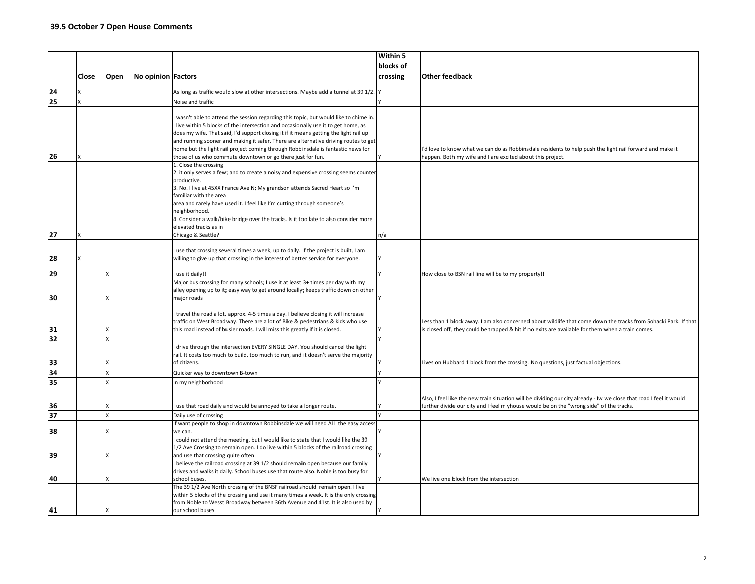|    |       |      |                    |                                                                                                                                                                                                                                                                                                                                                                                                                                                                                                             | Within 5  |                                                                                                                                                                                                                      |
|----|-------|------|--------------------|-------------------------------------------------------------------------------------------------------------------------------------------------------------------------------------------------------------------------------------------------------------------------------------------------------------------------------------------------------------------------------------------------------------------------------------------------------------------------------------------------------------|-----------|----------------------------------------------------------------------------------------------------------------------------------------------------------------------------------------------------------------------|
|    |       |      |                    |                                                                                                                                                                                                                                                                                                                                                                                                                                                                                                             | blocks of |                                                                                                                                                                                                                      |
|    | Close | Open | No opinion Factors |                                                                                                                                                                                                                                                                                                                                                                                                                                                                                                             | crossing  | <b>Other feedback</b>                                                                                                                                                                                                |
|    |       |      |                    |                                                                                                                                                                                                                                                                                                                                                                                                                                                                                                             |           |                                                                                                                                                                                                                      |
| 24 |       |      |                    | As long as traffic would slow at other intersections. Maybe add a tunnel at 39 1/2. Y                                                                                                                                                                                                                                                                                                                                                                                                                       |           |                                                                                                                                                                                                                      |
| 25 |       |      |                    | Noise and traffic                                                                                                                                                                                                                                                                                                                                                                                                                                                                                           |           |                                                                                                                                                                                                                      |
| 26 |       |      |                    | wasn't able to attend the session regarding this topic, but would like to chime in.<br>I live within 5 blocks of the intersection and occasionally use it to get home, as<br>does my wife. That said, I'd support closing it if it means getting the light rail up<br>and running sooner and making it safer. There are alternative driving routes to get<br>home but the light rail project coming through Robbinsdale is fantastic news for<br>those of us who commute downtown or go there just for fun. |           | I'd love to know what we can do as Robbinsdale residents to help push the light rail forward and make it<br>happen. Both my wife and I are excited about this project.                                               |
| 27 |       |      |                    | 1. Close the crossing<br>2. it only serves a few; and to create a noisy and expensive crossing seems counter<br>productive.<br>3. No. I live at 45XX France Ave N; My grandson attends Sacred Heart so I'm<br>familiar with the area<br>area and rarely have used it. I feel like I'm cutting through someone's<br>neighborhood.<br>4. Consider a walk/bike bridge over the tracks. Is it too late to also consider more<br>elevated tracks as in<br>Chicago & Seattle?                                     | n/a       |                                                                                                                                                                                                                      |
| 28 |       |      |                    | use that crossing several times a week, up to daily. If the project is built, I am<br>willing to give up that crossing in the interest of better service for everyone.                                                                                                                                                                                                                                                                                                                                      |           |                                                                                                                                                                                                                      |
| 29 |       |      |                    | use it daily!!                                                                                                                                                                                                                                                                                                                                                                                                                                                                                              |           | How close to BSN rail line will be to my property!!                                                                                                                                                                  |
| 30 |       |      |                    | Major bus crossing for many schools; I use it at least 3+ times per day with my<br>alley opening up to it; easy way to get around locally; keeps traffic down on other<br>major roads                                                                                                                                                                                                                                                                                                                       |           |                                                                                                                                                                                                                      |
| 31 |       |      |                    | travel the road a lot, approx. 4-5 times a day. I believe closing it will increase<br>raffic on West Broadway. There are a lot of Bike & pedestrians & kids who use<br>this road instead of busier roads. I will miss this greatly if it is closed.                                                                                                                                                                                                                                                         |           | Less than 1 block away. I am also concerned about wildlife that come down the tracks from Sohacki Park. If that<br>is closed off, they could be trapped & hit if no exits are available for them when a train comes. |
| 32 |       |      |                    | drive through the intersection EVERY SINGLE DAY. You should cancel the light                                                                                                                                                                                                                                                                                                                                                                                                                                |           |                                                                                                                                                                                                                      |
| 33 |       |      |                    | rail. It costs too much to build, too much to run, and it doesn't serve the majority<br>of citizens.                                                                                                                                                                                                                                                                                                                                                                                                        |           | Lives on Hubbard 1 block from the crossing. No questions, just factual objections.                                                                                                                                   |
| 34 |       |      |                    | Quicker way to downtown B-town                                                                                                                                                                                                                                                                                                                                                                                                                                                                              |           |                                                                                                                                                                                                                      |
| 35 |       |      |                    | n my neighborhood                                                                                                                                                                                                                                                                                                                                                                                                                                                                                           |           |                                                                                                                                                                                                                      |
| 36 |       |      |                    | use that road daily and would be annoyed to take a longer route.                                                                                                                                                                                                                                                                                                                                                                                                                                            |           | Also, I feel like the new train situation will be dividing our city already - Iw we close that road I feel it would<br>further divide our city and I feel m yhouse would be on the "wrong side" of the tracks.       |
| 37 |       |      |                    | Daily use of crossing                                                                                                                                                                                                                                                                                                                                                                                                                                                                                       |           |                                                                                                                                                                                                                      |
| 38 |       |      |                    | If want people to shop in downtown Robbinsdale we will need ALL the easy access<br>we can.                                                                                                                                                                                                                                                                                                                                                                                                                  |           |                                                                                                                                                                                                                      |
| 39 |       |      |                    | could not attend the meeting, but I would like to state that I would like the 39<br>1/2 Ave Crossing to remain open. I do live within 5 blocks of the railroad crossing<br>and use that crossing quite often.<br>believe the railroad crossing at 39 1/2 should remain open because our family<br>drives and walks it daily. School buses use that route also. Noble is too busy for                                                                                                                        |           |                                                                                                                                                                                                                      |
| 40 |       |      |                    | school buses.                                                                                                                                                                                                                                                                                                                                                                                                                                                                                               |           | We live one block from the intersection                                                                                                                                                                              |
| 41 |       |      |                    | The 39 1/2 Ave North crossing of the BNSF railroad should remain open. I live<br>within 5 blocks of the crossing and use it many times a week. It is the only crossing<br>from Noble to Wesst Broadway between 36th Avenue and 41st. It is also used by<br>our school buses.                                                                                                                                                                                                                                |           |                                                                                                                                                                                                                      |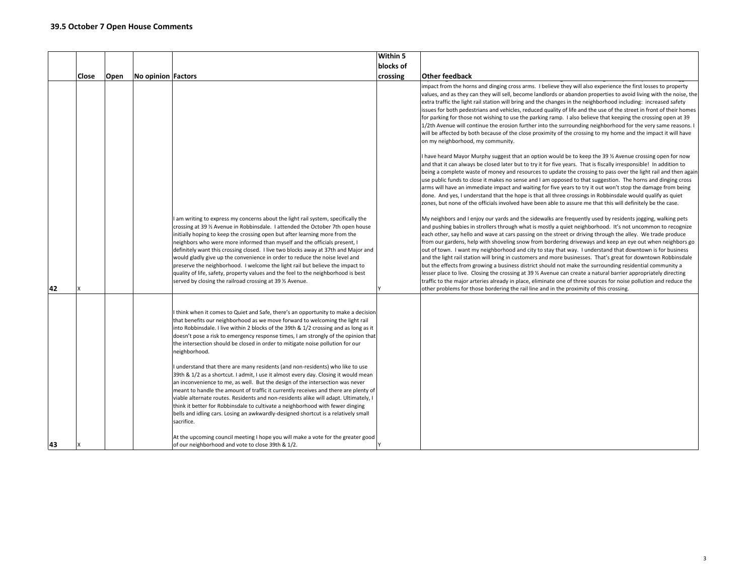|    |       |             |                    |                                                                                                                                                                                                                                                                                                                                                                                                                                                                                                                                                                                                                                                                                                                                                                                                                                                                                                                                                                                                                                                                                                                                                                          | Within 5  |                                                                                                                                                                                                                                                                                                                                                                                                                                                                                                                                                                                                                                                                                                                                                                                                                                                                                                                                                                                                                                                                                                                                    |
|----|-------|-------------|--------------------|--------------------------------------------------------------------------------------------------------------------------------------------------------------------------------------------------------------------------------------------------------------------------------------------------------------------------------------------------------------------------------------------------------------------------------------------------------------------------------------------------------------------------------------------------------------------------------------------------------------------------------------------------------------------------------------------------------------------------------------------------------------------------------------------------------------------------------------------------------------------------------------------------------------------------------------------------------------------------------------------------------------------------------------------------------------------------------------------------------------------------------------------------------------------------|-----------|------------------------------------------------------------------------------------------------------------------------------------------------------------------------------------------------------------------------------------------------------------------------------------------------------------------------------------------------------------------------------------------------------------------------------------------------------------------------------------------------------------------------------------------------------------------------------------------------------------------------------------------------------------------------------------------------------------------------------------------------------------------------------------------------------------------------------------------------------------------------------------------------------------------------------------------------------------------------------------------------------------------------------------------------------------------------------------------------------------------------------------|
|    |       |             |                    |                                                                                                                                                                                                                                                                                                                                                                                                                                                                                                                                                                                                                                                                                                                                                                                                                                                                                                                                                                                                                                                                                                                                                                          | blocks of |                                                                                                                                                                                                                                                                                                                                                                                                                                                                                                                                                                                                                                                                                                                                                                                                                                                                                                                                                                                                                                                                                                                                    |
|    | Close | <b>Open</b> | No opinion Factors |                                                                                                                                                                                                                                                                                                                                                                                                                                                                                                                                                                                                                                                                                                                                                                                                                                                                                                                                                                                                                                                                                                                                                                          | crossing  | <b>Other feedback</b>                                                                                                                                                                                                                                                                                                                                                                                                                                                                                                                                                                                                                                                                                                                                                                                                                                                                                                                                                                                                                                                                                                              |
|    |       |             |                    |                                                                                                                                                                                                                                                                                                                                                                                                                                                                                                                                                                                                                                                                                                                                                                                                                                                                                                                                                                                                                                                                                                                                                                          |           | impact from the horns and dinging cross arms. I believe they will also experience the first losses to property<br>values, and as they can they will sell, become landlords or abandon properties to avoid living with the noise, the<br>extra traffic the light rail station will bring and the changes in the neighborhood including: increased safety<br>issues for both pedestrians and vehicles, reduced quality of life and the use of the street in front of their homes<br>for parking for those not wishing to use the parking ramp. I also believe that keeping the crossing open at 39<br>1/2th Avenue will continue the erosion further into the surrounding neighborhood for the very same reasons. I<br>will be affected by both because of the close proximity of the crossing to my home and the impact it will have<br>on my neighborhood, my community.                                                                                                                                                                                                                                                           |
|    |       |             |                    |                                                                                                                                                                                                                                                                                                                                                                                                                                                                                                                                                                                                                                                                                                                                                                                                                                                                                                                                                                                                                                                                                                                                                                          |           | I have heard Mayor Murphy suggest that an option would be to keep the 39 1/2 Avenue crossing open for now<br>and that it can always be closed later but to try it for five years. That is fiscally irresponsible! In addition to<br>being a complete waste of money and resources to update the crossing to pass over the light rail and then again<br>use public funds to close it makes no sense and I am opposed to that suggestion. The horns and dinging cross<br>arms will have an immediate impact and waiting for five years to try it out won't stop the damage from being<br>done. And yes, I understand that the hope is that all three crossings in Robbinsdale would qualify as quiet<br>zones, but none of the officials involved have been able to assure me that this will definitely be the case.                                                                                                                                                                                                                                                                                                                 |
| 42 | X     |             |                    | I am writing to express my concerns about the light rail system, specifically the<br>crossing at 39 % Avenue in Robbinsdale. I attended the October 7th open house<br>initially hoping to keep the crossing open but after learning more from the<br>neighbors who were more informed than myself and the officials present, I<br>definitely want this crossing closed. I live two blocks away at 37th and Major and<br>would gladly give up the convenience in order to reduce the noise level and<br>preserve the neighborhood. I welcome the light rail but believe the impact to<br>quality of life, safety, property values and the feel to the neighborhood is best<br>served by closing the railroad crossing at 39 % Avenue.                                                                                                                                                                                                                                                                                                                                                                                                                                     |           | My neighbors and I enjoy our yards and the sidewalks are frequently used by residents jogging, walking pets<br>and pushing babies in strollers through what is mostly a quiet neighborhood. It's not uncommon to recognize<br>each other, say hello and wave at cars passing on the street or driving through the alley. We trade produce<br>from our gardens, help with shoveling snow from bordering driveways and keep an eye out when neighbors go<br>out of town. I want my neighborhood and city to stay that way. I understand that downtown is for business<br>and the light rail station will bring in customers and more businesses. That's great for downtown Robbinsdale<br>but the effects from growing a business district should not make the surrounding residential community a<br>lesser place to live. Closing the crossing at 39 % Avenue can create a natural barrier appropriately directing<br>traffic to the major arteries already in place, eliminate one of three sources for noise pollution and reduce the<br>other problems for those bordering the rail line and in the proximity of this crossing. |
|    |       |             |                    | I think when it comes to Quiet and Safe, there's an opportunity to make a decision<br>that benefits our neighborhood as we move forward to welcoming the light rail<br>into Robbinsdale. I live within 2 blocks of the 39th & 1/2 crossing and as long as it<br>doesn't pose a risk to emergency response times, I am strongly of the opinion that<br>the intersection should be closed in order to mitigate noise pollution for our<br>neighborhood.<br>I understand that there are many residents (and non-residents) who like to use<br>39th & 1/2 as a shortcut. I admit, I use it almost every day. Closing it would mean<br>an inconvenience to me, as well. But the design of the intersection was never<br>meant to handle the amount of traffic it currently receives and there are plenty of<br>viable alternate routes. Residents and non-residents alike will adapt. Ultimately, I<br>think it better for Robbinsdale to cultivate a neighborhood with fewer dinging<br>bells and idling cars. Losing an awkwardly-designed shortcut is a relatively small<br>sacrifice.<br>At the upcoming council meeting I hope you will make a vote for the greater good |           |                                                                                                                                                                                                                                                                                                                                                                                                                                                                                                                                                                                                                                                                                                                                                                                                                                                                                                                                                                                                                                                                                                                                    |
| 43 |       |             |                    | of our neighborhood and vote to close 39th & 1/2.                                                                                                                                                                                                                                                                                                                                                                                                                                                                                                                                                                                                                                                                                                                                                                                                                                                                                                                                                                                                                                                                                                                        |           |                                                                                                                                                                                                                                                                                                                                                                                                                                                                                                                                                                                                                                                                                                                                                                                                                                                                                                                                                                                                                                                                                                                                    |